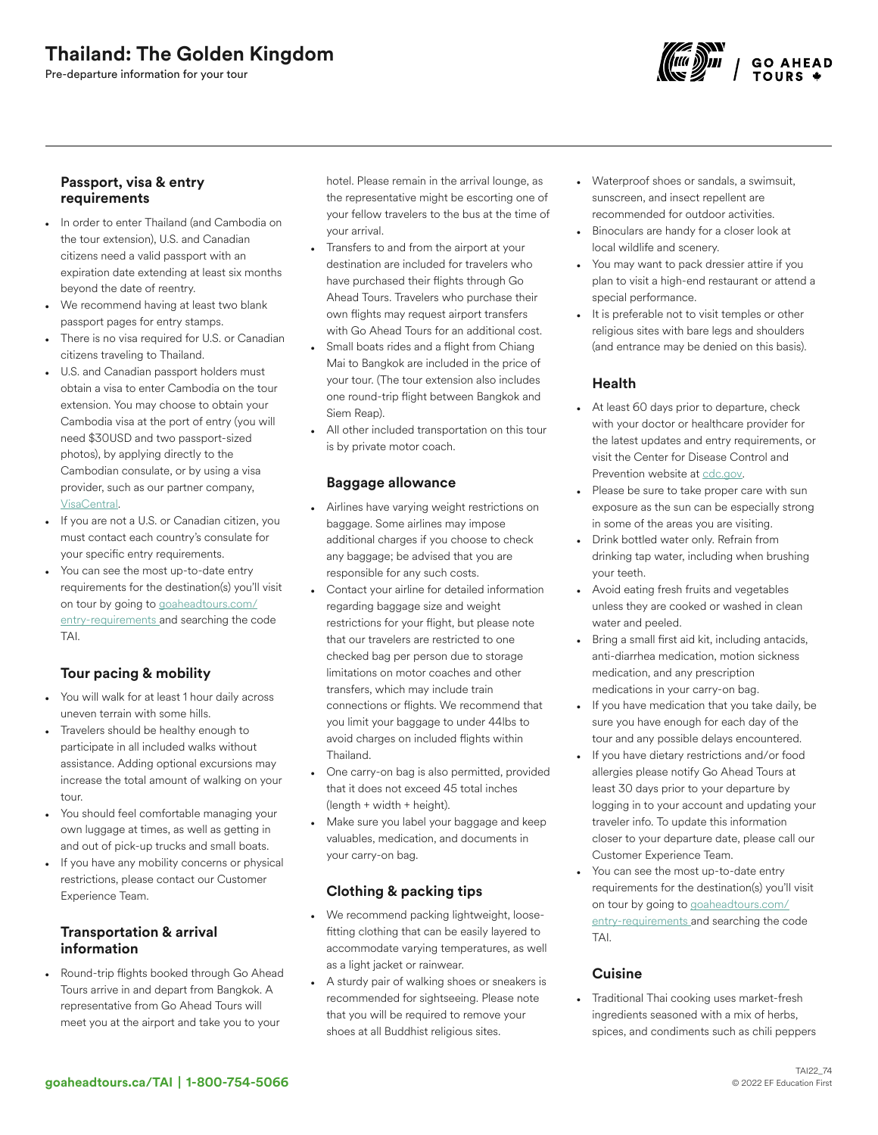# Thailand: The Golden Kingdom

Pre-departure information for your tour



#### Passport, visa & entry requirements

- In order to enter Thailand (and Cambodia on the tour extension), U.S. and Canadian citizens need a valid passport with an expiration date extending at least six months beyond the date of reentry.
- We recommend having at least two blank passport pages for entry stamps.
- There is no visa required for U.S. or Canadian citizens traveling to Thailand.
- U.S. and Canadian passport holders must obtain a visa to enter Cambodia on the tour extension. You may choose to obtain your Cambodia visa at the port of entry (you will need \$30USD and two passport-sized photos), by applying directly to the Cambodian consulate, or by using a visa provider, such as our partner company, [VisaCentral](https://www.visacentral.com/goaheadtours).
- If you are not a U.S. or Canadian citizen, you must contact each country's consulate for your specific entry requirements.
- You can see the most up-to-date entry requirements for the destination(s) you'll visit on tour by going to [goaheadtours.com/](/entry-requirements?tourCode=TAI) [entry-requirements](/entry-requirements?tourCode=TAI) and searching the code TAI.

## Tour pacing & mobility

- You will walk for at least 1 hour daily across uneven terrain with some hills.
- Travelers should be healthy enough to participate in all included walks without assistance. Adding optional excursions may increase the total amount of walking on your tour.
- You should feel comfortable managing your own luggage at times, as well as getting in and out of pick-up trucks and small boats.
- If you have any mobility concerns or physical restrictions, please contact our Customer Experience Team.

## Transportation & arrival information

• Round-trip flights booked through Go Ahead Tours arrive in and depart from Bangkok. A representative from Go Ahead Tours will meet you at the airport and take you to your

hotel. Please remain in the arrival lounge, as the representative might be escorting one of your fellow travelers to the bus at the time of your arrival.

- Transfers to and from the airport at your destination are included for travelers who have purchased their flights through Go Ahead Tours. Travelers who purchase their own flights may request airport transfers with Go Ahead Tours for an additional cost.
- Small boats rides and a flight from Chiang Mai to Bangkok are included in the price of your tour. (The tour extension also includes one round-trip flight between Bangkok and Siem Reap).
- All other included transportation on this tour is by private motor coach.

### Baggage allowance

- Airlines have varying weight restrictions on baggage. Some airlines may impose additional charges if you choose to check any baggage; be advised that you are responsible for any such costs.
- Contact your airline for detailed information regarding baggage size and weight restrictions for your flight, but please note that our travelers are restricted to one checked bag per person due to storage limitations on motor coaches and other transfers, which may include train connections or flights. We recommend that you limit your baggage to under 44lbs to avoid charges on included flights within Thailand.
- One carry-on bag is also permitted, provided that it does not exceed 45 total inches (length + width + height).
- Make sure you label your baggage and keep valuables, medication, and documents in your carry-on bag.

## Clothing & packing tips

- We recommend packing lightweight, loosefitting clothing that can be easily layered to accommodate varying temperatures, as well as a light jacket or rainwear.
- A sturdy pair of walking shoes or sneakers is recommended for sightseeing. Please note that you will be required to remove your shoes at all Buddhist religious sites.
- Waterproof shoes or sandals, a swimsuit, sunscreen, and insect repellent are recommended for outdoor activities.
- Binoculars are handy for a closer look at local wildlife and scenery.
- You may want to pack dressier attire if you plan to visit a high-end restaurant or attend a special performance.
- It is preferable not to visit temples or other religious sites with bare legs and shoulders (and entrance may be denied on this basis).

### Health

- At least 60 days prior to departure, check with your doctor or healthcare provider for the latest updates and entry requirements, or visit the Center for Disease Control and Prevention website at [cdc.gov.](https://www.cdc.gov/)
- Please be sure to take proper care with sun exposure as the sun can be especially strong in some of the areas you are visiting.
- Drink bottled water only. Refrain from drinking tap water, including when brushing your teeth.
- Avoid eating fresh fruits and vegetables unless they are cooked or washed in clean water and peeled.
- Bring a small first aid kit, including antacids, anti-diarrhea medication, motion sickness medication, and any prescription medications in your carry-on bag.
- If you have medication that you take daily, be sure you have enough for each day of the tour and any possible delays encountered.
- If you have dietary restrictions and/or food allergies please notify Go Ahead Tours at least 30 days prior to your departure by logging in to your account and updating your traveler info. To update this information closer to your departure date, please call our Customer Experience Team.
- You can see the most up-to-date entry requirements for the destination(s) you'll visit on tour by going to [goaheadtours.com/](/entry-requirements?tourCode=TAI) [entry-requirements](/entry-requirements?tourCode=TAI) and searching the code TAI.

#### **Cuisine**

• Traditional Thai cooking uses market-fresh ingredients seasoned with a mix of herbs, spices, and condiments such as chili peppers